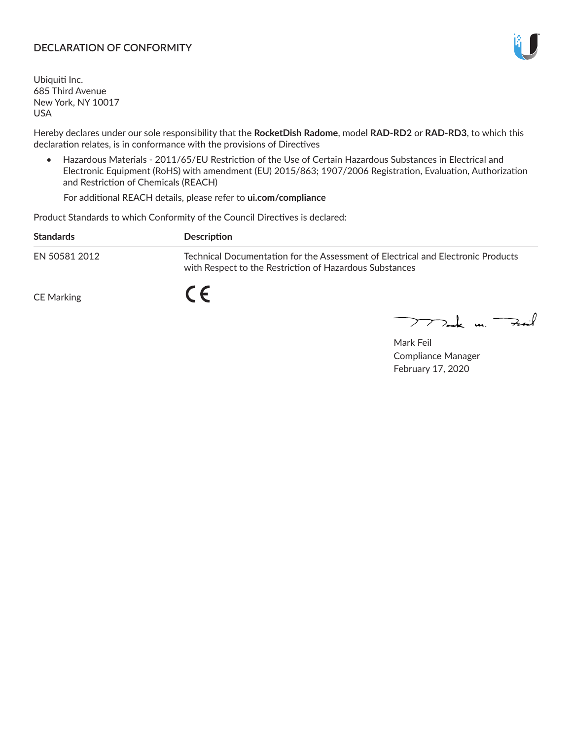## **DECLARATION OF CONFORMITY**

Ubiquiti Inc. 685 Third Avenue New York, NY 10017 USA

Hereby declares under our sole responsibility that the **RocketDish Radome**, model **RAD-RD2** or **RAD-RD3**, to which this declaration relates, is in conformance with the provisions of Directives

• Hazardous Materials - 2011/65/EU Restriction of the Use of Certain Hazardous Substances in Electrical and Electronic Equipment (RoHS) with amendment (EU) 2015/863; 1907/2006 Registration, Evaluation, Authorization and Restriction of Chemicals (REACH)

For additional REACH details, please refer to **ui.com/compliance**

Product Standards to which Conformity of the Council Directives is declared:

| <b>Standards</b> | <b>Description</b>                                                                                                                          |
|------------------|---------------------------------------------------------------------------------------------------------------------------------------------|
| EN 50581 2012    | Technical Documentation for the Assessment of Electrical and Electronic Products<br>with Respect to the Restriction of Hazardous Substances |
| CE Marking       |                                                                                                                                             |

 $\sum_{n=1}^{\infty}$  un  $\sum_{n=1}^{\infty}$ 

Mark Feil Compliance Manager February 17, 2020

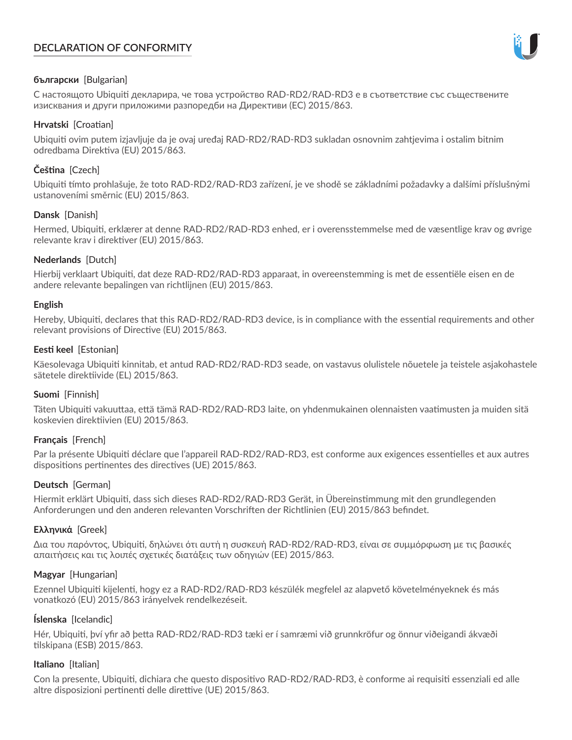# **DECLARATION OF CONFORMITY**



## **български** [Bulgarian]

С настоящото Ubiquiti декларира, че това устройство RAD-RD2/RAD-RD3 е в съответствие със съществените изисквания и други приложими разпоредби на Директиви (ЕС) 2015/863.

## **Hrvatski** [Croatian]

Ubiquiti ovim putem izjavljuje da je ovaj uređaj RAD-RD2/RAD-RD3 sukladan osnovnim zahtjevima i ostalim bitnim odredbama Direktiva (EU) 2015/863.

# **Čeština** [Czech]

Ubiquiti tímto prohlašuje, že toto RAD-RD2/RAD-RD3 zařízení, je ve shodě se základními požadavky a dalšími příslušnými ustanoveními směrnic (EU) 2015/863.

## **Dansk** [Danish]

Hermed, Ubiquiti, erklærer at denne RAD-RD2/RAD-RD3 enhed, er i overensstemmelse med de væsentlige krav og øvrige relevante krav i direktiver (EU) 2015/863.

## **Nederlands** [Dutch]

Hierbij verklaart Ubiquiti, dat deze RAD-RD2/RAD-RD3 apparaat, in overeenstemming is met de essentiële eisen en de andere relevante bepalingen van richtlijnen (EU) 2015/863.

### **English**

Hereby, Ubiquiti, declares that this RAD-RD2/RAD-RD3 device, is in compliance with the essential requirements and other relevant provisions of Directive (EU) 2015/863.

## **Eesti keel** [Estonian]

Käesolevaga Ubiquiti kinnitab, et antud RAD-RD2/RAD-RD3 seade, on vastavus olulistele nõuetele ja teistele asjakohastele sätetele direktiivide (EL) 2015/863.

### **Suomi** [Finnish]

Täten Ubiquiti vakuuttaa, että tämä RAD-RD2/RAD-RD3 laite, on yhdenmukainen olennaisten vaatimusten ja muiden sitä koskevien direktiivien (EU) 2015/863.

# **Français** [French]

Par la présente Ubiquiti déclare que l'appareil RAD-RD2/RAD-RD3, est conforme aux exigences essentielles et aux autres dispositions pertinentes des directives (UE) 2015/863.

# **Deutsch** [German]

Hiermit erklärt Ubiquiti, dass sich dieses RAD-RD2/RAD-RD3 Gerät, in Übereinstimmung mit den grundlegenden Anforderungen und den anderen relevanten Vorschriften der Richtlinien (EU) 2015/863 befindet.

# **Ελληνικά** [Greek]

Δια του παρόντος, Ubiquiti, δηλώνει ότι αυτή η συσκευή RAD-RD2/RAD-RD3, είναι σε συμμόρφωση με τις βασικές απαιτήσεις και τις λοιπές σχετικές διατάξεις των οδηγιών (ΕΕ) 2015/863.

### **Magyar** [Hungarian]

Ezennel Ubiquiti kijelenti, hogy ez a RAD-RD2/RAD-RD3 készülék megfelel az alapvető követelményeknek és más vonatkozó (EU) 2015/863 irányelvek rendelkezéseit.

### **Íslenska** [Icelandic]

Hér, Ubiquiti, því yfir að þetta RAD-RD2/RAD-RD3 tæki er í samræmi við grunnkröfur og önnur viðeigandi ákvæði tilskipana (ESB) 2015/863.

### **Italiano** [Italian]

Con la presente, Ubiquiti, dichiara che questo dispositivo RAD-RD2/RAD-RD3, è conforme ai requisiti essenziali ed alle altre disposizioni pertinenti delle direttive (UE) 2015/863.